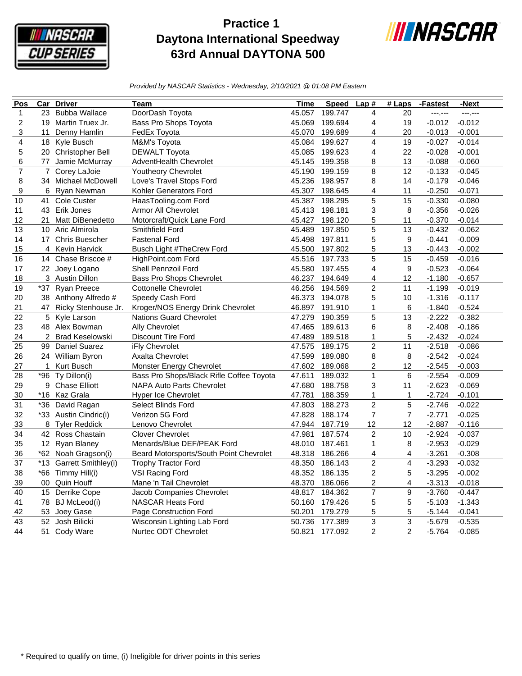

## **Practice 1 Daytona International Speedway 63rd Annual DAYTONA 500**



*Provided by NASCAR Statistics - Wednesday, 2/10/2021 @ 01:08 PM Eastern*

| Pos            | $\overline{\text{Car}}$ | <b>Driver</b>           | Team                                     | Time   | <b>Speed</b> | Lap#                    | $#$ Laps                | -Fastest | -Next    |
|----------------|-------------------------|-------------------------|------------------------------------------|--------|--------------|-------------------------|-------------------------|----------|----------|
| $\mathbf{1}$   |                         | 23 Bubba Wallace        | DoorDash Toyota                          | 45.057 | 199.747      | 4                       | 20                      | ---1---  | ---1---  |
| 2              | 19                      | Martin Truex Jr.        | Bass Pro Shops Toyota                    | 45.069 | 199.694      | 4                       | 19                      | $-0.012$ | $-0.012$ |
| 3              | 11                      | Denny Hamlin            | FedEx Toyota                             | 45.070 | 199.689      | 4                       | 20                      | $-0.013$ | $-0.001$ |
| 4              |                         | 18 Kyle Busch           | M&M's Toyota                             | 45.084 | 199.627      | 4                       | 19                      | $-0.027$ | $-0.014$ |
| 5              |                         | 20 Christopher Bell     | <b>DEWALT Toyota</b>                     | 45.085 | 199.623      | 4                       | 22                      | $-0.028$ | $-0.001$ |
| 6              | 77                      | Jamie McMurray          | AdventHealth Chevrolet                   | 45.145 | 199.358      | 8                       | 13                      | $-0.088$ | $-0.060$ |
| $\overline{7}$ | $\overline{7}$          | Corey LaJoie            | <b>Youtheory Chevrolet</b>               | 45.190 | 199.159      | 8                       | 12                      | $-0.133$ | $-0.045$ |
| 8              |                         | 34 Michael McDowell     | Love's Travel Stops Ford                 | 45.236 | 198.957      | 8                       | 14                      | $-0.179$ | $-0.046$ |
| 9              | 6                       | Ryan Newman             | Kohler Generators Ford                   | 45.307 | 198.645      | 4                       | 11                      | $-0.250$ | $-0.071$ |
| 10             | 41                      | Cole Custer             | HaasTooling.com Ford                     | 45.387 | 198.295      | 5                       | 15                      | $-0.330$ | $-0.080$ |
| 11             |                         | 43 Erik Jones           | <b>Armor All Chevrolet</b>               | 45.413 | 198.181      | 3                       | 8                       | $-0.356$ | $-0.026$ |
| 12             | 21                      | Matt DiBenedetto        | Motorcraft/Quick Lane Ford               | 45.427 | 198.120      | 5                       | 11                      | $-0.370$ | $-0.014$ |
| 13             |                         | 10 Aric Almirola        | Smithfield Ford                          | 45.489 | 197.850      | 5                       | 13                      | $-0.432$ | $-0.062$ |
| 14             |                         | 17 Chris Buescher       | <b>Fastenal Ford</b>                     | 45.498 | 197.811      | 5                       | 9                       | $-0.441$ | $-0.009$ |
| 15             | 4                       | Kevin Harvick           | Busch Light #TheCrew Ford                | 45.500 | 197.802      | 5                       | 13                      | $-0.443$ | $-0.002$ |
| 16             |                         | 14 Chase Briscoe #      | HighPoint.com Ford                       | 45.516 | 197.733      | 5                       | 15                      | $-0.459$ | $-0.016$ |
| 17             |                         | 22 Joey Logano          | Shell Pennzoil Ford                      | 45.580 | 197.455      | 4                       | 9                       | $-0.523$ | $-0.064$ |
| 18             |                         | 3 Austin Dillon         | Bass Pro Shops Chevrolet                 | 46.237 | 194.649      | 4                       | 12                      | $-1.180$ | $-0.657$ |
| 19             | $*37$                   | Ryan Preece             | <b>Cottonelle Chevrolet</b>              | 46.256 | 194.569      | $\overline{\mathbf{c}}$ | 11                      | $-1.199$ | $-0.019$ |
| 20             |                         | 38 Anthony Alfredo #    | Speedy Cash Ford                         | 46.373 | 194.078      | 5                       | 10                      | $-1.316$ | $-0.117$ |
| 21             | 47                      | Ricky Stenhouse Jr.     | Kroger/NOS Energy Drink Chevrolet        | 46.897 | 191.910      | 1                       | 6                       | $-1.840$ | $-0.524$ |
| 22             | 5                       | Kyle Larson             | <b>Nations Guard Chevrolet</b>           | 47.279 | 190.359      | 5                       | 13                      | $-2.222$ | $-0.382$ |
| 23             |                         | 48 Alex Bowman          | Ally Chevrolet                           | 47.465 | 189.613      | 6                       | 8                       | $-2.408$ | $-0.186$ |
| 24             | $\overline{2}$          | <b>Brad Keselowski</b>  | Discount Tire Ford                       | 47.489 | 189.518      | $\mathbf{1}$            | 5                       | $-2.432$ | $-0.024$ |
| 25             | 99                      | <b>Daniel Suarez</b>    | iFly Chevrolet                           | 47.575 | 189.175      | $\overline{c}$          | 11                      | $-2.518$ | $-0.086$ |
| 26             |                         | 24 William Byron        | Axalta Chevrolet                         | 47.599 | 189.080      | 8                       | 8                       | $-2.542$ | $-0.024$ |
| 27             | $\mathbf{1}$            | Kurt Busch              | Monster Energy Chevrolet                 | 47.602 | 189.068      | $\overline{c}$          | 12                      | $-2.545$ | $-0.003$ |
| 28             | *96                     | Ty Dillon(i)            | Bass Pro Shops/Black Rifle Coffee Toyota | 47.611 | 189.032      | $\mathbf{1}$            | 6                       | $-2.554$ | $-0.009$ |
| 29             | 9                       | <b>Chase Elliott</b>    | <b>NAPA Auto Parts Chevrolet</b>         | 47.680 | 188.758      | 3                       | 11                      | $-2.623$ | $-0.069$ |
| 30             |                         | *16 Kaz Grala           | <b>Hyper Ice Chevrolet</b>               | 47.781 | 188.359      | $\mathbf{1}$            | 1                       | $-2.724$ | $-0.101$ |
| 31             |                         | *36 David Ragan         | <b>Select Blinds Ford</b>                | 47.803 | 188.273      | $\overline{2}$          | 5                       | $-2.746$ | $-0.022$ |
| 32             |                         | *33 Austin Cindric(i)   | Verizon 5G Ford                          | 47.828 | 188.174      | $\overline{7}$          | $\overline{7}$          | $-2.771$ | $-0.025$ |
| 33             | 8                       | <b>Tyler Reddick</b>    | Lenovo Chevrolet                         | 47.944 | 187.719      | 12                      | 12                      | $-2.887$ | $-0.116$ |
| 34             |                         | 42 Ross Chastain        | <b>Clover Chevrolet</b>                  | 47.981 | 187.574      | $\overline{2}$          | 10                      | $-2.924$ | $-0.037$ |
| 35             |                         | 12 Ryan Blaney          | Menards/Blue DEF/PEAK Ford               | 48.010 | 187.461      | 1                       | 8                       | $-2.953$ | $-0.029$ |
| 36             |                         | *62 Noah Gragson(i)     | Beard Motorsports/South Point Chevrolet  | 48.318 | 186.266      | 4                       | 4                       | $-3.261$ | $-0.308$ |
| 37             |                         | *13 Garrett Smithley(i) | <b>Trophy Tractor Ford</b>               | 48.350 | 186.143      | $\overline{c}$          | $\overline{\mathbf{4}}$ | $-3.293$ | $-0.032$ |
| 38             |                         | *66 Timmy Hill(i)       | VSI Racing Ford                          | 48.352 | 186.135      | $\overline{c}$          | 5                       | $-3.295$ | $-0.002$ |
| 39             | 00                      | Quin Houff              | Mane 'n Tail Chevrolet                   | 48.370 | 186.066      | 2                       | $\overline{\mathbf{4}}$ | $-3.313$ | $-0.018$ |
| 40             | 15                      | Derrike Cope            | Jacob Companies Chevrolet                | 48.817 | 184.362      | $\overline{7}$          | 9                       | $-3.760$ | $-0.447$ |
| 41             |                         | 78 BJ McLeod(i)         | <b>NASCAR Heats Ford</b>                 | 50.160 | 179.426      | 5                       | 5                       | $-5.103$ | $-1.343$ |
| 42             | 53                      | Joey Gase               | Page Construction Ford                   | 50.201 | 179.279      | 5                       | 5                       | $-5.144$ | $-0.041$ |
| 43             |                         | 52 Josh Bilicki         | Wisconsin Lighting Lab Ford              | 50.736 | 177.389      | 3                       | 3                       | $-5.679$ | $-0.535$ |
| 44             |                         | 51 Cody Ware            | Nurtec ODT Chevrolet                     | 50.821 | 177.092      | 2                       | 2                       | $-5.764$ | $-0.085$ |